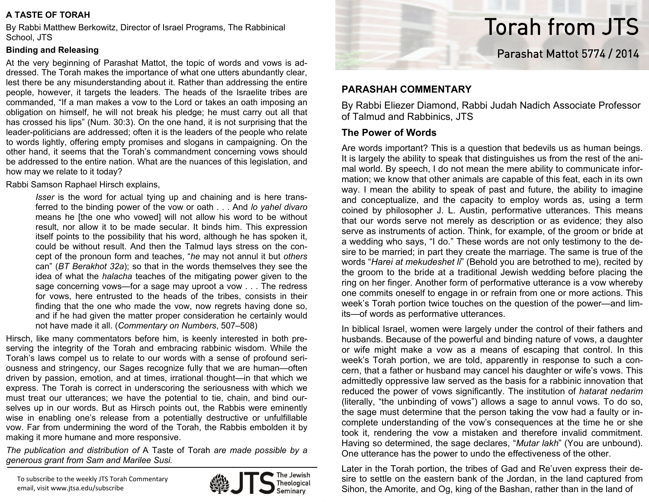## **A TASTE OF TORAH**

By Rabbi Matthew Berkowitz, Director of Israel Programs, The Rabbinical School, JTS

## **Binding and Releasing**

At the very beginning of Parashat Mattot, the topic of words and vows is addressed. The Torah makes the importance of what one utters abundantly clear, lest there be any misunderstanding about it. Rather than addressing the entire people, however, it targets the leaders. The heads of the Israelite tribes are commanded, "If a man makes a vow to the Lord or takes an oath imposing an obligation on himself, he will not break his pledge; he must carry out all that has crossed his lips" (Num. 30:3). On the one hand, it is not surprising that the leader-politicians are addressed; often it is the leaders of the people who relate to words lightly, offering empty promises and slogans in campaigning. On the other hand, it seems that the Torah's commandment concerning vows should be addressed to the entire nation. What are the nuances of this legislation, and how may we relate to it today?

Rabbi Samson Raphael Hirsch explains,

*Isser* is the word for actual tying up and chaining and is here transferred to the binding power of the vow or oath . . . And *lo yahel divaro* means he [the one who vowed] will not allow his word to be without result, nor allow it to be made secular. It binds him. This expression itself points to the possibility that his word, although he has spoken it, could be without result. And then the Talmud lays stress on the concept of the pronoun form and teaches, "*he* may not annul it but *others* can" (*BT Berakhot 32a*); so that in the words themselves they see the idea of what the *halacha* teaches of the mitigating power given to the sage concerning vows—for a sage may uproot a vow . . . The redress for vows, here entrusted to the heads of the tribes, consists in their finding that the one who made the vow, now regrets having done so, and if he had given the matter proper consideration he certainly would not have made it all. (*Commentary on Numbers*, 507–508)

Hirsch, like many commentators before him, is keenly interested in both preserving the integrity of the Torah and embracing rabbinic wisdom. While the Torah's laws compel us to relate to our words with a sense of profound seriousness and stringency, our Sages recognize fully that we are human—often driven by passion, emotion, and at times, irrational thought—in that which we express. The Torah is correct in underscoring the seriousness with which we must treat our utterances; we have the potential to tie, chain, and bind ourselves up in our words. But as Hirsch points out, the Rabbis were eminently wise in enabling one's release from a potentially destructive or unfulfillable vow. Far from undermining the word of the Torah, the Rabbis embolden it by making it more humane and more responsive.

*The publication and distribution of* A Taste of Torah *are made possible by a generous grant from Sam and Marilee Susi.*

To subscribe to the weekly JTS Torah Commentary email, visit www.jtsa.edu/subscribe





## **PARASHAH COMMENTARY**

By Rabbi Eliezer Diamond, Rabbi Judah Nadich Associate Professor of Talmud and Rabbinics, JTS

## **The Power of Words**

Are words important? This is a question that bedevils us as human beings. It is largely the ability to speak that distinguishes us from the rest of the animal world. By speech, I do not mean the mere ability to communicate information; we know that other animals are capable of this feat, each in its own way. I mean the ability to speak of past and future, the ability to imagine and conceptualize, and the capacity to employ words as, using a term coined by philosopher J. L. Austin, performative utterances. This means that our words serve not merely as description or as evidence; they also serve as instruments of action. Think, for example, of the groom or bride at a wedding who says, "I do." These words are not only testimony to the desire to be married; in part they create the marriage. The same is true of the words "*Harei at mekudeshet li*" (Behold you are betrothed to me), recited by the groom to the bride at a traditional Jewish wedding before placing the ring on her finger. Another form of performative utterance is a vow whereby one commits oneself to engage in or refrain from one or more actions. This week's Torah portion twice touches on the question of the power—and limits—of words as performative utterances.

In biblical Israel, women were largely under the control of their fathers and husbands. Because of the powerful and binding nature of vows, a daughter or wife might make a vow as a means of escaping that control. In this week's Torah portion, we are told, apparently in response to such a concern, that a father or husband may cancel his daughter or wife's vows. This admittedly oppressive law served as the basis for a rabbinic innovation that reduced the power of vows significantly. The institution of *hatarat nedarim*  (literally, "the unbinding of vows") allows a sage to annul vows. To do so, the sage must determine that the person taking the vow had a faulty or incomplete understanding of the vow's consequences at the time he or she took it, rendering the vow a mistaken and therefore invalid commitment. Having so determined, the sage declares, "*Mutar lakh*" (You are unbound). One utterance has the power to undo the effectiveness of the other.

Later in the Torah portion, the tribes of Gad and Re'uven express their desire to settle on the eastern bank of the Jordan, in the land captured from Sihon, the Amorite, and Og, king of the Bashan, rather than in the land of